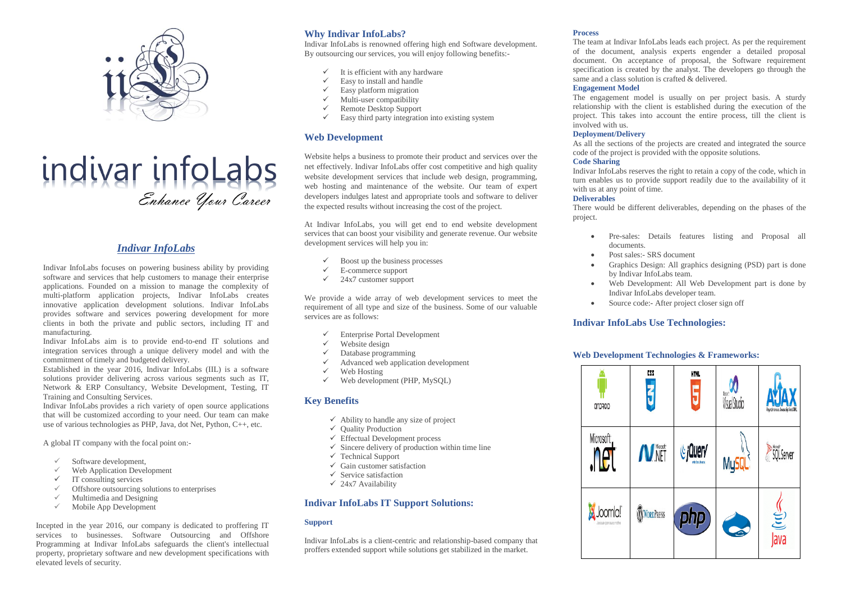

# indivar infoLabs

## *Indivar InfoLabs*

Indivar InfoLabs focuses on powering business ability by providing software and services that help customers to manage their enterprise applications. Founded on a mission to manage the complexity of multi-platform application projects, Indivar InfoLabs creates innovative application development solutions. Indivar InfoLabs provides software and services powering development for more clients in both the private and public sectors, including IT and manufacturing.

Indivar InfoLabs aim is to provide end-to-end IT solutions and integration services through a unique delivery model and with the commitment of timely and budgeted delivery.

Established in the year 2016, Indivar InfoLabs (IIL) is a software solutions provider delivering across various segments such as IT, Network & ERP Consultancy, Website Development, Testing, IT Training and Consulting Services.

Indivar InfoLabs provides a rich variety of open source applications that will be customized according to your need. Our team can make use of various technologies as PHP, Java, dot Net, Python, C++, etc.

A global IT company with the focal point on:-

- Software development,
- Web Application Development
- $\checkmark$  IT consulting services
- $\checkmark$  Offshore outsourcing solutions to enterprises
- $\checkmark$  Multimedia and Designing
- Mobile App Development

Incepted in the year 2016, our company is dedicated to proffering IT services to businesses. Software Outsourcing and Offshore Programming at Indivar InfoLabs safeguards the client's intellectual property, proprietary software and new development specifications with elevated levels of security.

# **Why Indivar InfoLabs?**

Indivar InfoLabs is renowned offering high end Software development. By outsourcing our services, you will enjoy following benefits:-

- $\checkmark$  It is efficient with any hardware
- Easy to install and handle
- $\checkmark$  Easy platform migration<br> $\checkmark$  Multi-user compatibility
- $\checkmark$  Multi-user compatibility<br> $\checkmark$  Remote Desktop Support
- Remote Desktop Support
- Easy third party integration into existing system

## **Web Development**

Website helps a business to promote their product and services over the net effectively. Indivar InfoLabs offer cost competitive and high quality website development services that include web design, programming, web hosting and maintenance of the website. Our team of expert developers indulges latest and appropriate tools and software to deliver the expected results without increasing the cost of the project.

At Indivar InfoLabs, you will get end to end website development services that can boost your visibility and generate revenue. Our website development services will help you in:

- $\checkmark$  Boost up the business processes
- $\checkmark$  E-commerce support<br> $\checkmark$  24x7 customer support
- 24x7 customer support

We provide a wide array of web development services to meet the requirement of all type and size of the business. Some of our valuable services are as follows:

- Enterprise Portal Development
- $\checkmark$  Website design
- Database programming
- $\checkmark$  Advanced web application development
- Web Hosting
- Web development (PHP, MySOL)

## **Key Benefits**

- $\checkmark$  Ability to handle any size of project
- $\checkmark$  Ouality Production
- $\checkmark$  Effectual Development process
- $\checkmark$  Sincere delivery of production within time line
- $\checkmark$  Technical Support
- $\checkmark$  Gain customer satisfaction
- $\checkmark$  Service satisfaction
- $\checkmark$  24x7 Availability

## **Indivar InfoLabs IT Support Solutions:**

## **Support**

Indivar InfoLabs is a client-centric and relationship-based company that proffers extended support while solutions get stabilized in the market.

#### **Process**

The team at Indivar InfoLabs leads each project. As per the requirement of the document, analysis experts engender a detailed proposal document. On acceptance of proposal, the Software requirement specification is created by the analyst. The developers go through the same and a class solution is crafted & delivered.

#### **Engagement Model**

The engagement model is usually on per project basis. A sturdy relationship with the client is established during the execution of the project. This takes into account the entire process, till the client is involved with us.

#### **Deployment/Delivery**

As all the sections of the projects are created and integrated the source code of the project is provided with the opposite solutions.

#### **Code Sharing**

Indivar InfoLabs reserves the right to retain a copy of the code, which in turn enables us to provide support readily due to the availability of it with us at any point of time.

#### **Deliverables**

There would be different deliverables, depending on the phases of the project.

- Pre-sales: Details features listing and Proposal all documents.
- Post sales:- SRS document
- Graphics Design: All graphics designing (PSD) part is done by Indivar InfoLabs team.
- Web Development: All Web Development part is done by Indivar InfoLabs developer team.
- Source code:- After project closer sign off

## **Indivar InfoLabs Use Technologies:**

## **Web Development Technologies & Frameworks:**